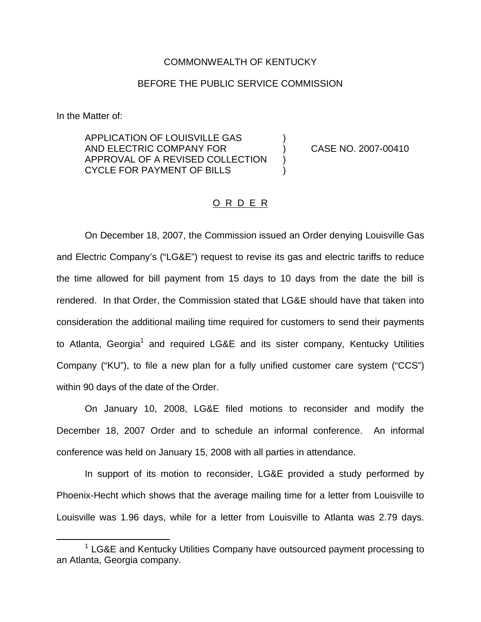## COMMONWEALTH OF KENTUCKY

## BEFORE THE PUBLIC SERVICE COMMISSION

In the Matter of:

APPLICATION OF LOUISVILLE GAS ) AND ELECTRIC COMPANY FOR ) CASE NO. 2007-00410 APPROVAL OF A REVISED COLLECTION CYCLE FOR PAYMENT OF BILLS )

## O R D E R

On December 18, 2007, the Commission issued an Order denying Louisville Gas and Electric Company's ("LG&E") request to revise its gas and electric tariffs to reduce the time allowed for bill payment from 15 days to 10 days from the date the bill is rendered. In that Order, the Commission stated that LG&E should have that taken into consideration the additional mailing time required for customers to send their payments to Atlanta, Georgia<sup>1</sup> and required LG&E and its sister company, Kentucky Utilities Company ("KU"), to file a new plan for a fully unified customer care system ("CCS") within 90 days of the date of the Order.

On January 10, 2008, LG&E filed motions to reconsider and modify the December 18, 2007 Order and to schedule an informal conference. An informal conference was held on January 15, 2008 with all parties in attendance.

In support of its motion to reconsider, LG&E provided a study performed by Phoenix-Hecht which shows that the average mailing time for a letter from Louisville to Louisville was 1.96 days, while for a letter from Louisville to Atlanta was 2.79 days.

 $1$  LG&E and Kentucky Utilities Company have outsourced payment processing to an Atlanta, Georgia company.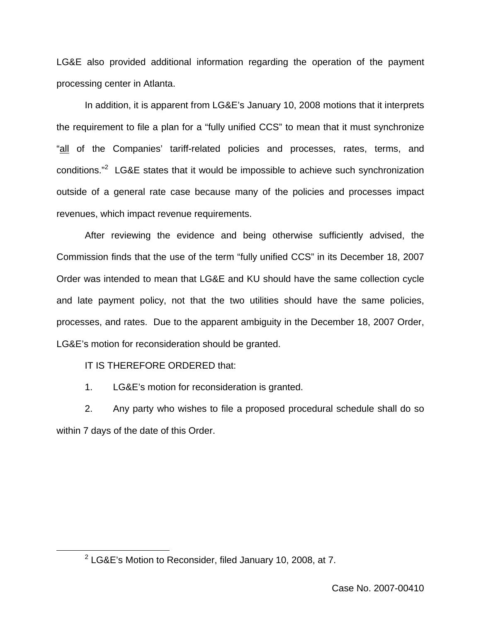LG&E also provided additional information regarding the operation of the payment processing center in Atlanta.

In addition, it is apparent from LG&E's January 10, 2008 motions that it interprets the requirement to file a plan for a "fully unified CCS" to mean that it must synchronize "all of the Companies' tariff-related policies and processes, rates, terms, and conditions."2 LG&E states that it would be impossible to achieve such synchronization outside of a general rate case because many of the policies and processes impact revenues, which impact revenue requirements.

After reviewing the evidence and being otherwise sufficiently advised, the Commission finds that the use of the term "fully unified CCS" in its December 18, 2007 Order was intended to mean that LG&E and KU should have the same collection cycle and late payment policy, not that the two utilities should have the same policies, processes, and rates. Due to the apparent ambiguity in the December 18, 2007 Order, LG&E's motion for reconsideration should be granted.

IT IS THEREFORE ORDERED that:

1. LG&E's motion for reconsideration is granted.

2. Any party who wishes to file a proposed procedural schedule shall do so within 7 days of the date of this Order.

<sup>2</sup> LG&E's Motion to Reconsider, filed January 10, 2008, at 7.